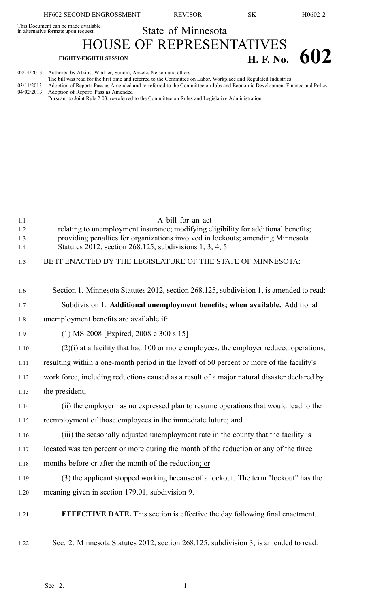This Document can be made available

State of Minnesota HOUSE OF REPRESENTATIVES

## **EIGHTY-EIGHTH SESSION H. F. No. 602**

| 02/14/2013 | Authored by Atkins, Winkler, Sundin, Anzelc, Nelson and others                                                                      |
|------------|-------------------------------------------------------------------------------------------------------------------------------------|
|            | The bill was read for the first time and referred to the Committee on Labor, Workplace and Regulated Industries                     |
|            | 03/11/2013 Adoption of Report: Pass as Amended and re-referred to the Committee on Jobs and Economic Development Finance and Policy |
|            | 04/02/2013 Adoption of Report: Pass as Amended                                                                                      |
|            | Pursuant to Joint Rule 2.03, re-referred to the Committee on Rules and Legislative Administration                                   |

| 1.1<br>1.2<br>1.3<br>1.4 | A bill for an act<br>relating to unemployment insurance; modifying eligibility for additional benefits;<br>providing penalties for organizations involved in lockouts; amending Minnesota<br>Statutes 2012, section 268.125, subdivisions 1, 3, 4, 5. |
|--------------------------|-------------------------------------------------------------------------------------------------------------------------------------------------------------------------------------------------------------------------------------------------------|
| 1.5                      | BE IT ENACTED BY THE LEGISLATURE OF THE STATE OF MINNESOTA:                                                                                                                                                                                           |
|                          |                                                                                                                                                                                                                                                       |
| 1.6                      | Section 1. Minnesota Statutes 2012, section 268.125, subdivision 1, is amended to read:                                                                                                                                                               |
| 1.7                      | Subdivision 1. Additional unemployment benefits; when available. Additional                                                                                                                                                                           |
| 1.8                      | unemployment benefits are available if:                                                                                                                                                                                                               |
| 1.9                      | $(1)$ MS 2008 [Expired, 2008 c 300 s 15]                                                                                                                                                                                                              |
| 1.10                     | $(2)(i)$ at a facility that had 100 or more employees, the employer reduced operations,                                                                                                                                                               |
| 1.11                     | resulting within a one-month period in the layoff of 50 percent or more of the facility's                                                                                                                                                             |
| 1.12                     | work force, including reductions caused as a result of a major natural disaster declared by                                                                                                                                                           |
| 1.13                     | the president;                                                                                                                                                                                                                                        |
| 1.14                     | (ii) the employer has no expressed plan to resume operations that would lead to the                                                                                                                                                                   |
| 1.15                     | reemployment of those employees in the immediate future; and                                                                                                                                                                                          |
| 1.16                     | (iii) the seasonally adjusted unemployment rate in the county that the facility is                                                                                                                                                                    |
| 1.17                     | located was ten percent or more during the month of the reduction or any of the three                                                                                                                                                                 |
| 1.18                     | months before or after the month of the reduction; or                                                                                                                                                                                                 |
| 1.19                     | (3) the applicant stopped working because of a lockout. The term "lockout" has the                                                                                                                                                                    |
| 1.20                     | meaning given in section 179.01, subdivision 9.                                                                                                                                                                                                       |
| 1.21                     | <b>EFFECTIVE DATE.</b> This section is effective the day following final enactment.                                                                                                                                                                   |
| 1.22                     | Sec. 2. Minnesota Statutes 2012, section 268.125, subdivision 3, is amended to read:                                                                                                                                                                  |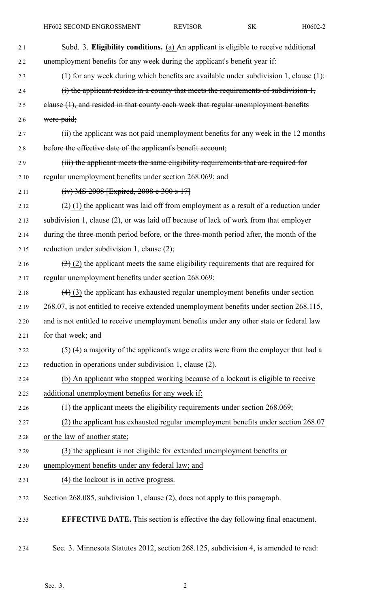| 2.1  | Subd. 3. Eligibility conditions. (a) An applicant is eligible to receive additional         |
|------|---------------------------------------------------------------------------------------------|
| 2.2  | unemployment benefits for any week during the applicant's benefit year if:                  |
| 2.3  | (1) for any week during which benefits are available under subdivision $1$ , clause $(1)$ : |
| 2.4  | $(i)$ the applicant resides in a county that meets the requirements of subdivision $1$ ,    |
| 2.5  | elause (1), and resided in that county each week that regular unemployment benefits         |
| 2.6  | were paid;                                                                                  |
| 2.7  | (ii) the applicant was not paid unemployment benefits for any week in the 12 months         |
| 2.8  | before the effective date of the applicant's benefit account;                               |
| 2.9  | (iii) the applicant meets the same eligibility requirements that are required for           |
| 2.10 | regular unemployment benefits under section 268.069; and                                    |
| 2.11 | $(iv) MS 2008$ [Expired, 2008 e 300 s 17]                                                   |
| 2.12 | $(2)$ (1) the applicant was laid off from employment as a result of a reduction under       |
| 2.13 | subdivision 1, clause (2), or was laid off because of lack of work from that employer       |
| 2.14 | during the three-month period before, or the three-month period after, the month of the     |
| 2.15 | reduction under subdivision 1, clause (2);                                                  |
| 2.16 | $(3)$ (2) the applicant meets the same eligibility requirements that are required for       |
| 2.17 | regular unemployment benefits under section 268.069;                                        |
| 2.18 | $(4)$ (3) the applicant has exhausted regular unemployment benefits under section           |
| 2.19 | 268.07, is not entitled to receive extended unemployment benefits under section 268.115,    |
| 2.20 | and is not entitled to receive unemployment benefits under any other state or federal law   |
| 2.21 | for that week; and                                                                          |
| 2.22 | $(5)$ (4) a majority of the applicant's wage credits were from the employer that had a      |
| 2.23 | reduction in operations under subdivision 1, clause (2).                                    |
| 2.24 | (b) An applicant who stopped working because of a lockout is eligible to receive            |
| 2.25 | additional unemployment benefits for any week if:                                           |
| 2.26 | $(1)$ the applicant meets the eligibility requirements under section 268.069;               |
| 2.27 | (2) the applicant has exhausted regular unemployment benefits under section 268.07          |
| 2.28 | or the law of another state;                                                                |
| 2.29 | (3) the applicant is not eligible for extended unemployment benefits or                     |
| 2.30 | unemployment benefits under any federal law; and                                            |
| 2.31 | (4) the lockout is in active progress.                                                      |
| 2.32 | Section 268.085, subdivision 1, clause (2), does not apply to this paragraph.               |
| 2.33 | <b>EFFECTIVE DATE.</b> This section is effective the day following final enactment.         |
| 2.34 | Sec. 3. Minnesota Statutes 2012, section 268.125, subdivision 4, is amended to read:        |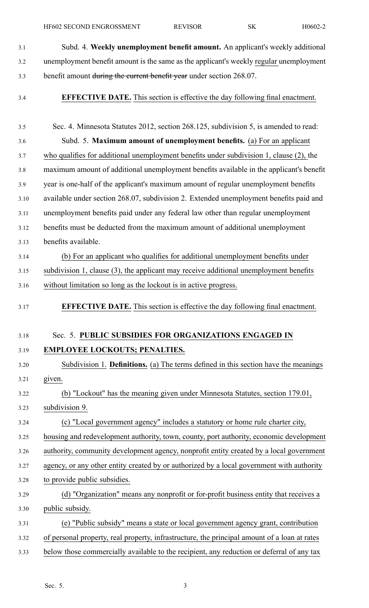HF602 SECOND ENGROSSMENT REVISOR SK H0602-2

- 3.1 Subd. 4. **Weekly unemployment benefit amount.** An applicant's weekly additional 3.2 unemployment benefit amount is the same as the applicant's weekly regular unemployment 3.3 benefit amount during the current benefit year under section 268.07.
- 

3.4 **EFFECTIVE DATE.** This section is effective the day following final enactment.

3.5 Sec. 4. Minnesota Statutes 2012, section 268.125, subdivision 5, is amended to read: 3.6 Subd. 5. **Maximum amount of unemployment benefits.** (a) For an applicant 3.7 who qualifies for additional unemployment benefits under subdivision 1, clause (2), the 3.8 maximum amount of additional unemployment benefits available in the applicant's benefit 3.9 year is one-half of the applicant's maximum amount of regular unemployment benefits 3.10 available under section 268.07, subdivision 2. Extended unemployment benefits paid and 3.11 unemployment benefits paid under any federal law other than regular unemployment 3.12 benefits must be deducted from the maximum amount of additional unemployment 3.13 benefits available. 3.14 (b) For an applicant who qualifies for additional unemployment benefits under 3.15 subdivision 1, clause (3), the applicant may receive additional unemployment benefits 3.16 without limitation so long as the lockout is in active progress. 3.17 **EFFECTIVE DATE.** This section is effective the day following final enactment. 3.18 Sec. 5. **PUBLIC SUBSIDIES FOR ORGANIZATIONS ENGAGED IN** 3.19 **EMPLOYEE LOCKOUTS; PENALTIES.** 3.20 Subdivision 1. **Definitions.** (a) The terms defined in this section have the meanings 3.21 given. 3.22 (b) "Lockout" has the meaning given under Minnesota Statutes, section 179.01, 3.23 subdivision 9. 3.24 (c) "Local governmen<sup>t</sup> agency" includes <sup>a</sup> statutory or home rule charter city, 3.25 housing and redevelopment authority, town, county, por<sup>t</sup> authority, economic development 3.26 authority, community development agency, nonprofit entity created by <sup>a</sup> local governmen<sup>t</sup> 3.27 agency, or any other entity created by or authorized by <sup>a</sup> local governmen<sup>t</sup> with authority 3.28 to provide public subsidies. 3.29 (d) "Organization" means any nonprofit or for-profit business entity that receives <sup>a</sup> 3.30 public subsidy. 3.31 (e) "Public subsidy" means <sup>a</sup> state or local governmen<sup>t</sup> agency grant, contribution 3.32 of personal property, real property, infrastructure, the principal amount of <sup>a</sup> loan at rates 3.33 below those commercially available to the recipient, any reduction or deferral of any tax